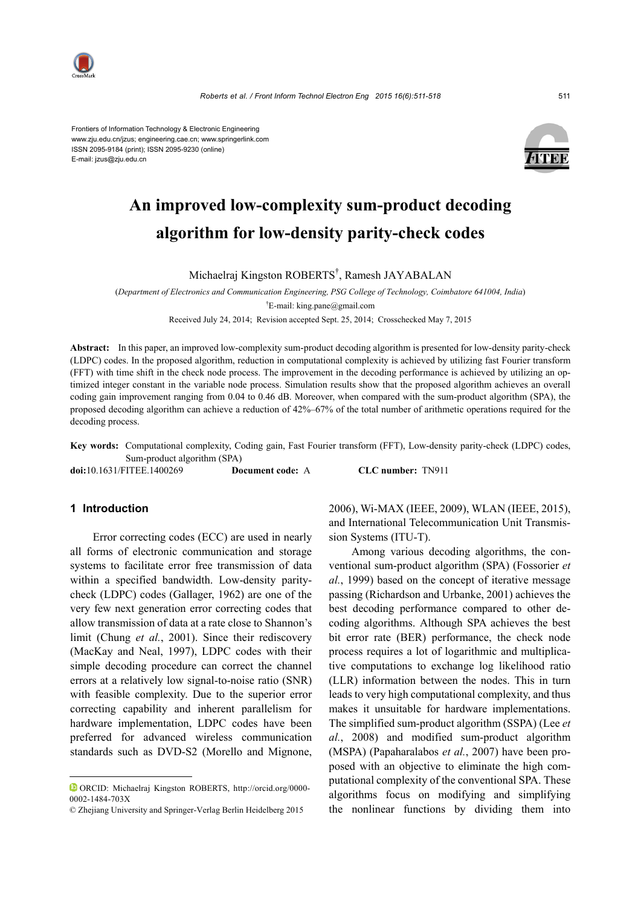

Frontiers of Information Technology & Electronic Engineering www.zju.edu.cn/jzus; engineering.cae.cn; www.springerlink.com ISSN 2095-9184 (print); ISSN 2095-9230 (online) E-mail: jzus@zju.edu.cn



# **An improved low-complexity sum-product decoding algorithm for low-density parity-check codes**

Michaelraj Kingston ROBERTS† , Ramesh JAYABALAN

(*Department of Electronics and Communication Engineering, PSG College of Technology, Coimbatore 641004, India*) † E-mail: king.pane@gmail.com

Received July 24, 2014; Revision accepted Sept. 25, 2014; Crosschecked May 7, 2015

**Abstract:** In this paper, an improved low-complexity sum-product decoding algorithm is presented for low-density parity-check (LDPC) codes. In the proposed algorithm, reduction in computational complexity is achieved by utilizing fast Fourier transform (FFT) with time shift in the check node process. The improvement in the decoding performance is achieved by utilizing an optimized integer constant in the variable node process. Simulation results show that the proposed algorithm achieves an overall coding gain improvement ranging from 0.04 to 0.46 dB. Moreover, when compared with the sum-product algorithm (SPA), the proposed decoding algorithm can achieve a reduction of 42%–67% of the total number of arithmetic operations required for the decoding process.

**Key words:** Computational complexity, Coding gain, Fast Fourier transform (FFT), Low-density parity-check (LDPC) codes, Sum-product algorithm (SPA)

**doi:**10.1631/FITEE.1400269 **Document code:** A **CLC number:** TN911

# **1 Introduction**

Error correcting codes (ECC) are used in nearly all forms of electronic communication and storage systems to facilitate error free transmission of data within a specified bandwidth. Low-density paritycheck (LDPC) codes (Gallager, 1962) are one of the very few next generation error correcting codes that allow transmission of data at a rate close to Shannon's limit (Chung *et al.*, 2001). Since their rediscovery (MacKay and Neal, 1997), LDPC codes with their simple decoding procedure can correct the channel errors at a relatively low signal-to-noise ratio (SNR) with feasible complexity. Due to the superior error correcting capability and inherent parallelism for hardware implementation, LDPC codes have been preferred for advanced wireless communication standards such as DVD-S2 (Morello and Mignone,

2006), Wi-MAX (IEEE, 2009), WLAN (IEEE, 2015), and International Telecommunication Unit Transmission Systems (ITU-T).

Among various decoding algorithms, the conventional sum-product algorithm (SPA) (Fossorier *et al.*, 1999) based on the concept of iterative message passing (Richardson and Urbanke, 2001) achieves the best decoding performance compared to other decoding algorithms. Although SPA achieves the best bit error rate (BER) performance, the check node process requires a lot of logarithmic and multiplicative computations to exchange log likelihood ratio (LLR) information between the nodes. This in turn leads to very high computational complexity, and thus makes it unsuitable for hardware implementations. The simplified sum-product algorithm (SSPA) (Lee *et al.*, 2008) and modified sum-product algorithm (MSPA) (Papaharalabos *et al.*, 2007) have been proposed with an objective to eliminate the high computational complexity of the conventional SPA. These algorithms focus on modifying and simplifying the nonlinear functions by dividing them into

ORCID: Michaelraj Kingston ROBERTS, http://orcid.org/0000- 0002-1484-703X

<sup>©</sup> Zhejiang University and Springer-Verlag Berlin Heidelberg 2015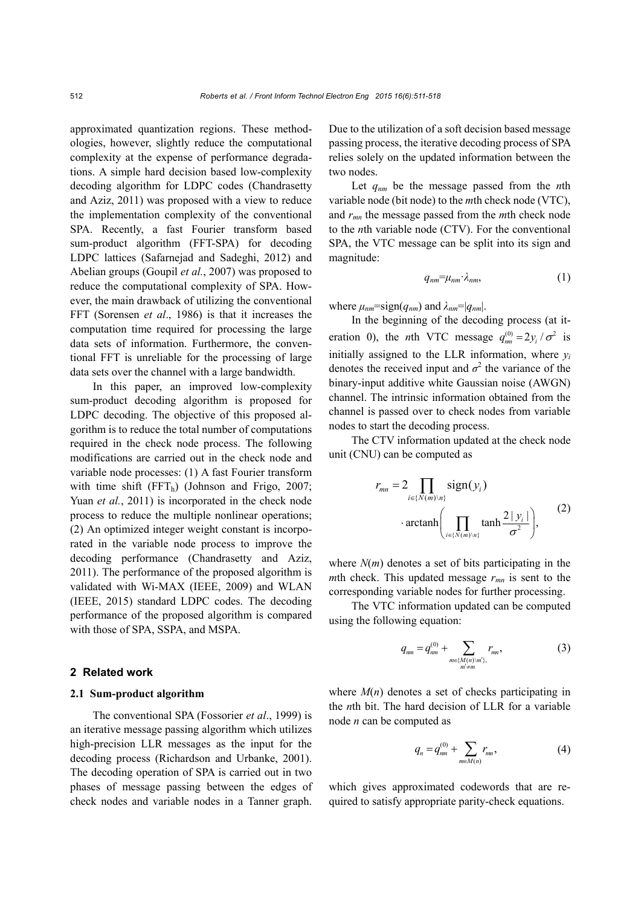approximated quantization regions. These methodologies, however, slightly reduce the computational complexity at the expense of performance degradations. A simple hard decision based low-complexity decoding algorithm for LDPC codes (Chandrasetty and Aziz, 2011) was proposed with a view to reduce the implementation complexity of the conventional SPA. Recently, a fast Fourier transform based sum-product algorithm (FFT-SPA) for decoding LDPC lattices (Safarnejad and Sadeghi, 2012) and Abelian groups (Goupil *et al.*, 2007) was proposed to reduce the computational complexity of SPA. However, the main drawback of utilizing the conventional FFT (Sorensen *et al*., 1986) is that it increases the computation time required for processing the large data sets of information. Furthermore, the conventional FFT is unreliable for the processing of large data sets over the channel with a large bandwidth.

In this paper, an improved low-complexity sum-product decoding algorithm is proposed for LDPC decoding. The objective of this proposed algorithm is to reduce the total number of computations required in the check node process. The following modifications are carried out in the check node and variable node processes: (1) A fast Fourier transform with time shift  $(FFT_h)$  (Johnson and Frigo, 2007; Yuan *et al.*, 2011) is incorporated in the check node process to reduce the multiple nonlinear operations; (2) An optimized integer weight constant is incorporated in the variable node process to improve the decoding performance (Chandrasetty and Aziz, 2011). The performance of the proposed algorithm is validated with Wi-MAX (IEEE, 2009) and WLAN (IEEE, 2015) standard LDPC codes. The decoding performance of the proposed algorithm is compared with those of SPA, SSPA, and MSPA.

#### **2 Related work**

### **2.1 Sum-product algorithm**

The conventional SPA (Fossorier *et al*., 1999) is an iterative message passing algorithm which utilizes high-precision LLR messages as the input for the decoding process (Richardson and Urbanke, 2001). The decoding operation of SPA is carried out in two phases of message passing between the edges of check nodes and variable nodes in a Tanner graph.

Due to the utilization of a soft decision based message passing process, the iterative decoding process of SPA relies solely on the updated information between the two nodes.

Let *qnm* be the message passed from the *n*th variable node (bit node) to the *m*th check node (VTC), and *rmn* the message passed from the *m*th check node to the *n*th variable node (CTV). For the conventional SPA, the VTC message can be split into its sign and magnitude:

$$
q_{nm} = \mu_{nm} \cdot \lambda_{nm}, \qquad (1)
$$

where  $\mu_{nm}$ =sign( $q_{nm}$ ) and  $\lambda_{nm}$ =| $q_{nm}$ |.

In the beginning of the decoding process (at iteration 0), the *n*th VTC message  $q_{nm}^{(0)} = 2y_i / \sigma^2$  is initially assigned to the LLR information, where  $y_i$ denotes the received input and  $\sigma^2$  the variance of the binary-input additive white Gaussian noise (AWGN) channel. The intrinsic information obtained from the channel is passed over to check nodes from variable nodes to start the decoding process.

The CTV information updated at the check node unit (CNU) can be computed as

$$
r_{mn} = 2 \prod_{i \in \{N(m)\backslash n\}} sign(y_i)
$$

$$
\cdot \operatorname{arctanh}\left(\prod_{i \in \{N(m)\backslash n\}} \tanh \frac{2|y_i|}{\sigma^2}\right), \tag{2}
$$

where  $N(m)$  denotes a set of bits participating in the *m*th check. This updated message  $r_{mn}$  is sent to the corresponding variable nodes for further processing.

The VTC information updated can be computed using the following equation:

$$
q_{nm} = q_{nm}^{(0)} + \sum_{\substack{m \in \{M(n)\mid m'\}, \\ m' \neq m}} r_{mn}, \tag{3}
$$

where  $M(n)$  denotes a set of checks participating in the *n*th bit. The hard decision of LLR for a variable node *n* can be computed as

$$
q_n = q_{nm}^{(0)} + \sum_{m \in M(n)} r_{mn}, \qquad (4)
$$

which gives approximated codewords that are required to satisfy appropriate parity-check equations.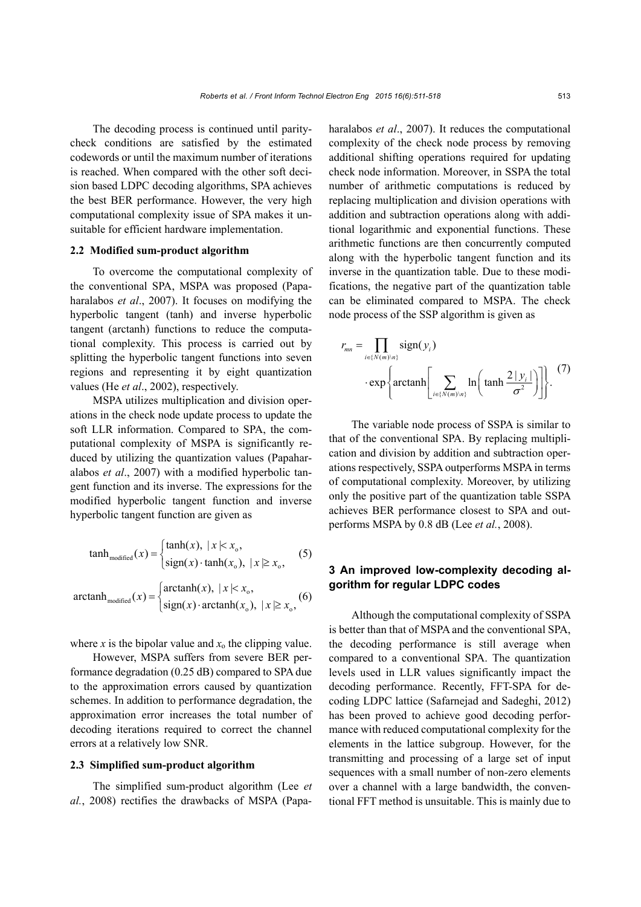The decoding process is continued until paritycheck conditions are satisfied by the estimated codewords or until the maximum number of iterations is reached. When compared with the other soft decision based LDPC decoding algorithms, SPA achieves the best BER performance. However, the very high computational complexity issue of SPA makes it unsuitable for efficient hardware implementation.

## **2.2 Modified sum-product algorithm**

To overcome the computational complexity of the conventional SPA, MSPA was proposed (Papaharalabos *et al*., 2007). It focuses on modifying the hyperbolic tangent (tanh) and inverse hyperbolic tangent (arctanh) functions to reduce the computational complexity. This process is carried out by splitting the hyperbolic tangent functions into seven regions and representing it by eight quantization values (He *et al*., 2002), respectively.

MSPA utilizes multiplication and division operations in the check node update process to update the soft LLR information. Compared to SPA, the computational complexity of MSPA is significantly reduced by utilizing the quantization values (Papaharalabos *et al*., 2007) with a modified hyperbolic tangent function and its inverse. The expressions for the modified hyperbolic tangent function and inverse hyperbolic tangent function are given as

$$
\tanh_{\text{modified}}(x) = \begin{cases} \tanh(x), & |x| < x_0, \\ \text{sign}(x) \cdot \tanh(x_0), & |x| \ge x_0, \end{cases} \tag{5}
$$

$$
\operatorname{arctanh}_{\operatorname{modified}}(x) = \begin{cases} \operatorname{arctanh}(x), & |x| < x_{\text{o}}, \\ \operatorname{sign}(x) \cdot \operatorname{arctanh}(x_{\text{o}}), & |x| \ge x_{\text{o}}, \end{cases} \tag{6}
$$

where *x* is the bipolar value and  $x_0$  the clipping value.

However, MSPA suffers from severe BER performance degradation (0.25 dB) compared to SPA due to the approximation errors caused by quantization schemes. In addition to performance degradation, the approximation error increases the total number of decoding iterations required to correct the channel errors at a relatively low SNR.

## **2.3 Simplified sum-product algorithm**

The simplified sum-product algorithm (Lee *et al.*, 2008) rectifies the drawbacks of MSPA (Papaharalabos *et al*., 2007). It reduces the computational complexity of the check node process by removing additional shifting operations required for updating check node information. Moreover, in SSPA the total number of arithmetic computations is reduced by replacing multiplication and division operations with addition and subtraction operations along with additional logarithmic and exponential functions. These arithmetic functions are then concurrently computed along with the hyperbolic tangent function and its inverse in the quantization table. Due to these modifications, the negative part of the quantization table can be eliminated compared to MSPA. The check node process of the SSP algorithm is given as

$$
r_{mn} = \prod_{i \in \{N(m)\setminus n\}} sign(y_i)
$$

$$
\cdot exp \left\{ arctanh \left[ \sum_{i \in \{N(m)\setminus n\}} ln \left( \tanh \frac{2|y_i|}{\sigma^2} \right) \right] \right\}.
$$
 (7)

The variable node process of SSPA is similar to that of the conventional SPA. By replacing multiplication and division by addition and subtraction operations respectively, SSPA outperforms MSPA in terms of computational complexity. Moreover, by utilizing only the positive part of the quantization table SSPA achieves BER performance closest to SPA and outperforms MSPA by 0.8 dB (Lee *et al.*, 2008).

# **3 An improved low-complexity decoding algorithm for regular LDPC codes**

Although the computational complexity of SSPA is better than that of MSPA and the conventional SPA, the decoding performance is still average when compared to a conventional SPA. The quantization levels used in LLR values significantly impact the decoding performance. Recently, FFT-SPA for decoding LDPC lattice (Safarnejad and Sadeghi, 2012) has been proved to achieve good decoding performance with reduced computational complexity for the elements in the lattice subgroup. However, for the transmitting and processing of a large set of input sequences with a small number of non-zero elements over a channel with a large bandwidth, the conventional FFT method is unsuitable. This is mainly due to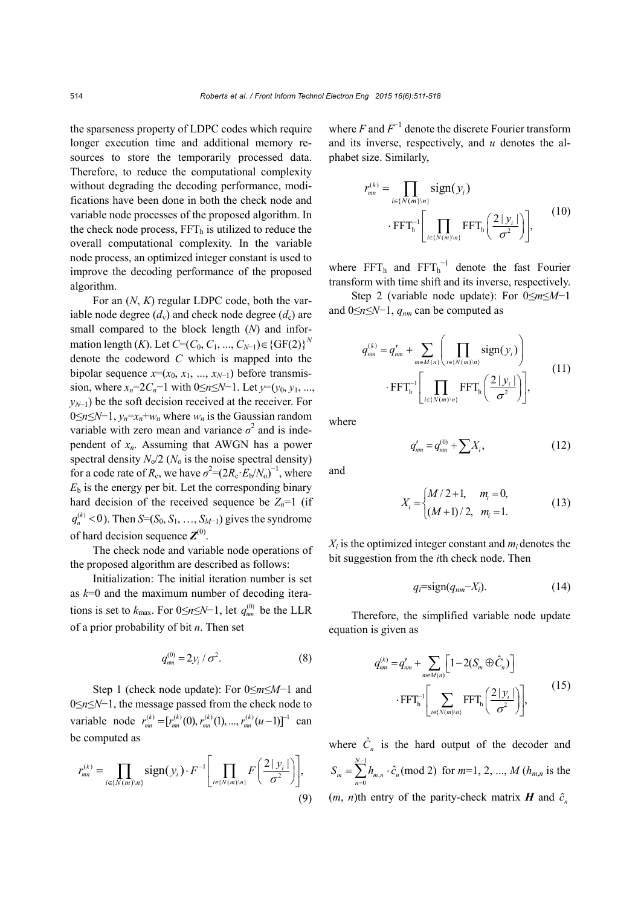the sparseness property of LDPC codes which require longer execution time and additional memory resources to store the temporarily processed data. Therefore, to reduce the computational complexity without degrading the decoding performance, modifications have been done in both the check node and variable node processes of the proposed algorithm. In the check node process,  $FFT<sub>h</sub>$  is utilized to reduce the overall computational complexity. In the variable node process, an optimized integer constant is used to improve the decoding performance of the proposed algorithm.

For an (*N*, *K*) regular LDPC code, both the variable node degree  $(d_v)$  and check node degree  $(d_c)$  are small compared to the block length (*N*) and information length (*K*). Let  $C=(C_0, C_1, ..., C_{N-1}) \in \{GF(2)\}^N$ denote the codeword *C* which is mapped into the bipolar sequence  $x=(x_0, x_1, ..., x_{N-1})$  before transmission, where  $x_n = 2C_n - 1$  with  $0 \le n \le N - 1$ . Let  $y = (y_0, y_1, \ldots, y_n)$ *y<sub>N−1</sub>*) be the soft decision received at the receiver. For 0≤*n*≤*N*−1, *yn*=*xn*+*wn* where *wn* is the Gaussian random variable with zero mean and variance  $\sigma^2$  and is independent of *xn*. Assuming that AWGN has a power spectral density  $N_0/2$  ( $N_0$  is the noise spectral density) for a code rate of  $R_c$ , we have  $\sigma^2 = (2R_c \cdot E_b/N_o)^{-1}$ , where  $E<sub>b</sub>$  is the energy per bit. Let the corresponding binary hard decision of the received sequence be  $Z_n=1$  (if  $q_n^{(k)}$  < 0). Then *S*=(*S*<sub>0</sub>, *S*<sub>1</sub>, …, *S*<sub>*M*-1</sub>) gives the syndrome of hard decision sequence  $\mathbf{Z}^{(0)}$ .

The check node and variable node operations of the proposed algorithm are described as follows:

Initialization: The initial iteration number is set as *k*=0 and the maximum number of decoding iterations is set to  $k_{\text{max}}$ . For  $0 \le n \le N-1$ , let  $q_{nm}^{(0)}$  be the LLR of a prior probability of bit *n*. Then set

$$
q_{nm}^{(0)} = 2y_i / \sigma^2.
$$
 (8)

Step 1 (check node update): For 0≤*m*≤*M*−1 and 0≤*n*≤*N*−1, the message passed from the check node to variable node  $r_{mn}^{(k)} = [r_{mn}^{(k)}(0), r_{mn}^{(k)}(1), ..., r_{mn}^{(k)}(u-1)]^{-1}$  can be computed as

$$
r_{mn}^{(k)} = \prod_{i \in \{N(m)\backslash n\}} sign(y_i) \cdot F^{-1} \left[ \prod_{i \in \{N(m)\backslash n\}} F\left(\frac{2|y_i|}{\sigma^2}\right) \right],
$$
\n(9)

where  $F$  and  $F^{-1}$  denote the discrete Fourier transform and its inverse, respectively, and *u* denotes the alphabet size. Similarly,

$$
r_{mn}^{(k)} = \prod_{i \in \{N(m)\backslash n\}} sign(y_i)
$$

$$
\cdot \operatorname{FFT}_{h}^{-1} \left[ \prod_{i \in \{N(m)\backslash n\}} \operatorname{FFT}_{h} \left( \frac{2|y_i|}{\sigma^2} \right) \right], \qquad (10)
$$

where  $FFT<sub>h</sub>$  and  $FFT<sub>h</sub><sup>-1</sup>$  denote the fast Fourier transform with time shift and its inverse, respectively.

Step 2 (variable node update): For 0≤*m*≤*M*−1 and 0≤*n*≤*N*−1, *qnm* can be computed as

$$
q_{nm}^{(k)} = q_{nm}^{\prime} + \sum_{m \in M(n)} \left( \prod_{i \in \{N(m)\backslash n\}} sign(y_i) \right) \cdot \text{FFT}_{h}^{-1} \left[ \prod_{i \in \{N(m)\backslash n\}} \text{FFT}_{h} \left( \frac{2 |y_i|}{\sigma^2} \right) \right], \tag{11}
$$

where

$$
q'_{nm} = q^{(0)}_{nm} + \sum X_i, \qquad (12)
$$

and

$$
X_i = \begin{cases} M/2+1, & m_i = 0, \\ (M+1)/2, & m_i = 1. \end{cases}
$$
 (13)

 $X_i$  is the optimized integer constant and  $m_i$  denotes the bit suggestion from the *i*th check node. Then

$$
q_i = \text{sign}(q_{nm} - X_i). \tag{14}
$$

Therefore, the simplified variable node update equation is given as

$$
q_{nm}^{(k)} = q_{nm}^{\prime} + \sum_{m \in M(n)} \left[ 1 - 2(S_m \oplus \hat{C}_n) \right]
$$

$$
\cdot \operatorname{FFT}_{\mathbf{h}}^{-1} \left[ \sum_{i \in \{N(m)\mid n\}} \operatorname{FFT}_{\mathbf{h}} \left( \frac{2|y_i|}{\sigma^2} \right) \right], \tag{15}
$$

where  $\hat{C}_n$  is the hard output of the decoder and 1  $\frac{1}{0}$ <sup> $n_m$ </sup>  $\sum_{m=n}^{-1} h_{m,n} \cdot \hat{c}_n \text{ (mod 2)}$  $= \sum_{n=0}^{N-1} h_{m,n}$ .  $_m - \sum_{n=0}^{\infty} n_{m,n} \cdot c_n$  $S_m = \sum h_{m,n} \cdot \hat{c}_n \text{ (mod 2) for } m=1, 2, ..., M (h_{m,n} \text{ is the})$  $(m, n)$ th entry of the parity-check matrix *H* and  $\hat{c}_n$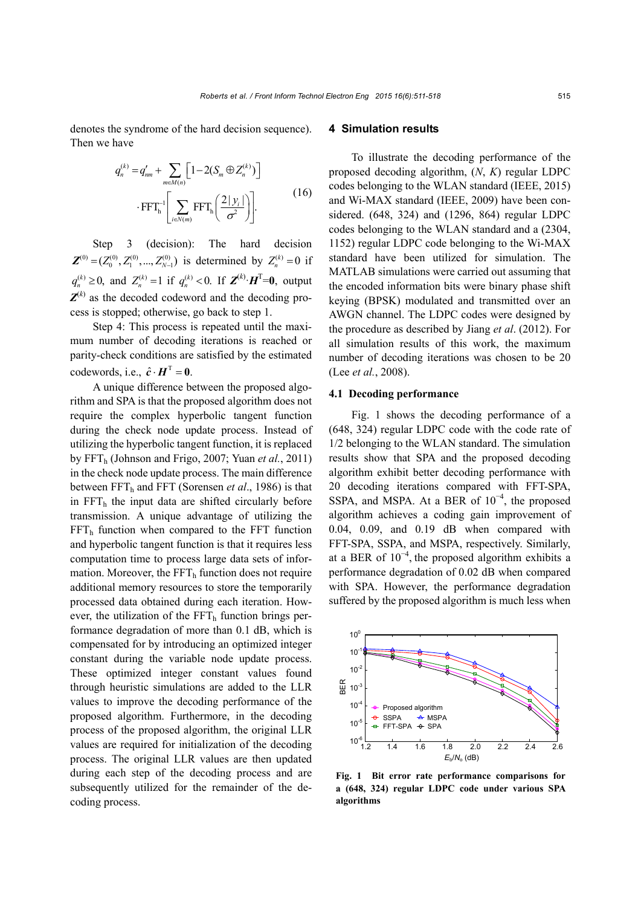denotes the syndrome of the hard decision sequence). Then we have

$$
q_n^{(k)} = q'_{nm} + \sum_{m \in M(n)} \left[ 1 - 2(S_m \oplus Z_n^{(k)}) \right]
$$

$$
\cdot \operatorname{FFT}_{\mathbf{h}}^{-1} \left[ \sum_{i \in N(m)} \operatorname{FFT}_{\mathbf{h}} \left( \frac{2|y_i|}{\sigma^2} \right) \right]. \tag{16}
$$

Step 3 (decision): The hard decision  $\mathbf{Z}^{(0)} = (Z_0^{(0)}, Z_1^{(0)}, ..., Z_{N-1}^{(0)})$  is determined by  $Z_n^{(k)} = 0$  if  $q_n^{(k)} \ge 0$ , and  $Z_n^{(k)} = 1$  if  $q_n^{(k)} < 0$ . If  $\mathbf{Z}^{(k)} \cdot \mathbf{H}^{\mathrm{T}} = 0$ , output  $Z^{(k)}$  as the decoded codeword and the decoding process is stopped; otherwise, go back to step 1.

Step 4: This process is repeated until the maximum number of decoding iterations is reached or parity-check conditions are satisfied by the estimated codewords, i.e.,  $\hat{c} \cdot \mathbf{H}^T = 0$ .

A unique difference between the proposed algorithm and SPA is that the proposed algorithm does not require the complex hyperbolic tangent function during the check node update process. Instead of utilizing the hyperbolic tangent function, it is replaced by FFTh (Johnson and Frigo, 2007; Yuan *et al.*, 2011) in the check node update process. The main difference between FFT<sub>h</sub> and FFT (Sorensen *et al.*, 1986) is that in  $FFT<sub>h</sub>$  the input data are shifted circularly before transmission. A unique advantage of utilizing the  $FFT<sub>h</sub>$  function when compared to the FFT function and hyperbolic tangent function is that it requires less computation time to process large data sets of information. Moreover, the  $\text{FFT}_{h}$  function does not require additional memory resources to store the temporarily processed data obtained during each iteration. However, the utilization of the  $FFT<sub>h</sub>$  function brings performance degradation of more than 0.1 dB, which is compensated for by introducing an optimized integer constant during the variable node update process. These optimized integer constant values found through heuristic simulations are added to the LLR values to improve the decoding performance of the proposed algorithm. Furthermore, in the decoding process of the proposed algorithm, the original LLR values are required for initialization of the decoding process. The original LLR values are then updated during each step of the decoding process and are subsequently utilized for the remainder of the decoding process.

# **4 Simulation results**

To illustrate the decoding performance of the proposed decoding algorithm, (*N*, *K*) regular LDPC codes belonging to the WLAN standard (IEEE, 2015) and Wi-MAX standard (IEEE, 2009) have been considered. (648, 324) and (1296, 864) regular LDPC codes belonging to the WLAN standard and a (2304, 1152) regular LDPC code belonging to the Wi-MAX standard have been utilized for simulation. The MATLAB simulations were carried out assuming that the encoded information bits were binary phase shift keying (BPSK) modulated and transmitted over an AWGN channel. The LDPC codes were designed by the procedure as described by Jiang *et al*. (2012). For all simulation results of this work, the maximum number of decoding iterations was chosen to be 20 (Lee *et al.*, 2008).

# **4.1 Decoding performance**

Fig. 1 shows the decoding performance of a (648, 324) regular LDPC code with the code rate of 1/2 belonging to the WLAN standard. The simulation results show that SPA and the proposed decoding algorithm exhibit better decoding performance with 20 decoding iterations compared with FFT-SPA, SSPA, and MSPA. At a BER of  $10^{-4}$ , the proposed algorithm achieves a coding gain improvement of 0.04, 0.09, and 0.19 dB when compared with FFT-SPA, SSPA, and MSPA, respectively. Similarly, at a BER of  $10^{-4}$ , the proposed algorithm exhibits a performance degradation of 0.02 dB when compared with SPA. However, the performance degradation suffered by the proposed algorithm is much less when



**Fig. 1 Bit error rate performance comparisons for a (648, 324) regular LDPC code under various SPA algorithms**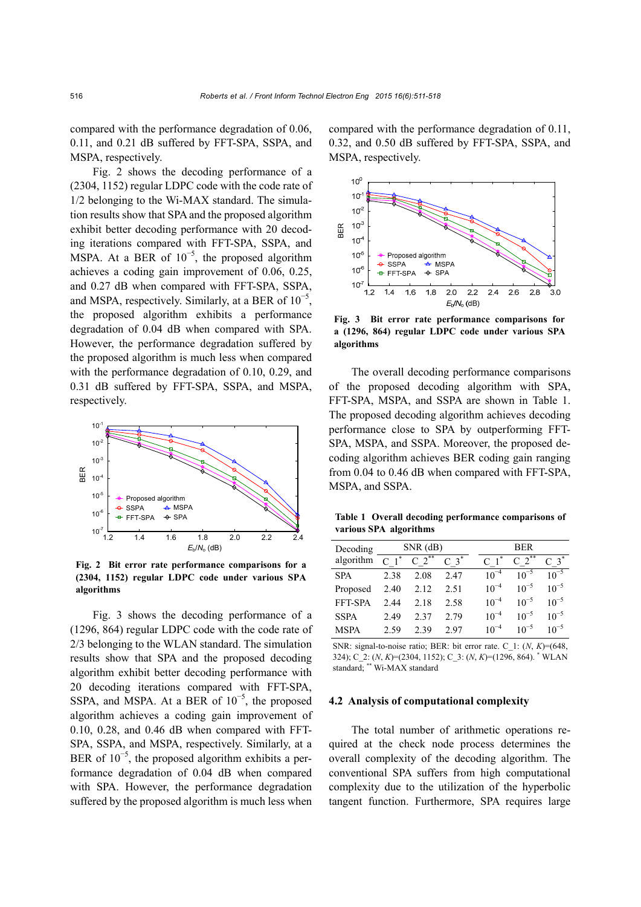compared with the performance degradation of 0.06, 0.11, and 0.21 dB suffered by FFT-SPA, SSPA, and MSPA, respectively.

Fig. 2 shows the decoding performance of a (2304, 1152) regular LDPC code with the code rate of 1/2 belonging to the Wi-MAX standard. The simulation results show that SPA and the proposed algorithm exhibit better decoding performance with 20 decoding iterations compared with FFT-SPA, SSPA, and MSPA. At a BER of  $10^{-5}$ , the proposed algorithm achieves a coding gain improvement of 0.06, 0.25, and 0.27 dB when compared with FFT-SPA, SSPA, and MSPA, respectively. Similarly, at a BER of  $10^{-5}$ , the proposed algorithm exhibits a performance degradation of 0.04 dB when compared with SPA. However, the performance degradation suffered by the proposed algorithm is much less when compared with the performance degradation of 0.10, 0.29, and 0.31 dB suffered by FFT-SPA, SSPA, and MSPA, respectively.



**Fig. 2 Bit error rate performance comparisons for a (2304, 1152) regular LDPC code under various SPA algorithms**

Fig. 3 shows the decoding performance of a (1296, 864) regular LDPC code with the code rate of 2/3 belonging to the WLAN standard. The simulation results show that SPA and the proposed decoding algorithm exhibit better decoding performance with 20 decoding iterations compared with FFT-SPA, SSPA, and MSPA. At a BER of  $10^{-5}$ , the proposed algorithm achieves a coding gain improvement of 0.10, 0.28, and 0.46 dB when compared with FFT-SPA, SSPA, and MSPA, respectively. Similarly, at a BER of  $10^{-5}$ , the proposed algorithm exhibits a performance degradation of 0.04 dB when compared with SPA. However, the performance degradation suffered by the proposed algorithm is much less when

compared with the performance degradation of 0.11, 0.32, and 0.50 dB suffered by FFT-SPA, SSPA, and MSPA, respectively.



**Fig. 3 Bit error rate performance comparisons for a (1296, 864) regular LDPC code under various SPA** 

The overall decoding performance comparisons of the proposed decoding algorithm with SPA, FFT-SPA, MSPA, and SSPA are shown in Table 1. The proposed decoding algorithm achieves decoding performance close to SPA by outperforming FFT-SPA, MSPA, and SSPA. Moreover, the proposed decoding algorithm achieves BER coding gain ranging from 0.04 to 0.46 dB when compared with FFT-SPA, MSPA, and SSPA.

**Table 1 Overall decoding performance comparisons of various SPA algorithms** 

| Decoding    | $SNR$ (dB) |          |                      | <b>BER</b> |               |                 |
|-------------|------------|----------|----------------------|------------|---------------|-----------------|
| algorithm   |            | $2^{**}$ | $C \left( 3 \right)$ |            | $\mathcal{D}$ | $\mathcal{R}^*$ |
| <b>SPA</b>  | 2.38       | 2.08     | 2.47                 | $10^{-4}$  | $10^{-5}$     | $10^{-5}$       |
| Proposed    | 2.40       | 2.12     | 2.51                 | $10^{-4}$  | $10^{-5}$     | $10^{-5}$       |
| FFT-SPA     | 2.44       | 2.18     | 2.58                 | $10^{-4}$  | $10^{-5}$     | $10^{-5}$       |
| <b>SSPA</b> | 2.49       | 2.37     | 2.79                 | $10^{-4}$  | $10^{-5}$     | $10^{-5}$       |
| <b>MSPA</b> | 2.59       | 2.39     | 2.97                 | $10^{-4}$  | $10^{-5}$     | $10^{-5}$       |

SNR: signal-to-noise ratio; BER: bit error rate. C\_1: (*N*, *K*)=(648, 324); C\_2: (*N*, *K*)=(2304, 1152); C\_3: (*N*, *K*)=(1296, 864). \* WLAN standard; \*\* Wi-MAX standard

## **4.2 Analysis of computational complexity**

The total number of arithmetic operations required at the check node process determines the overall complexity of the decoding algorithm. The conventional SPA suffers from high computational complexity due to the utilization of the hyperbolic tangent function. Furthermore, SPA requires large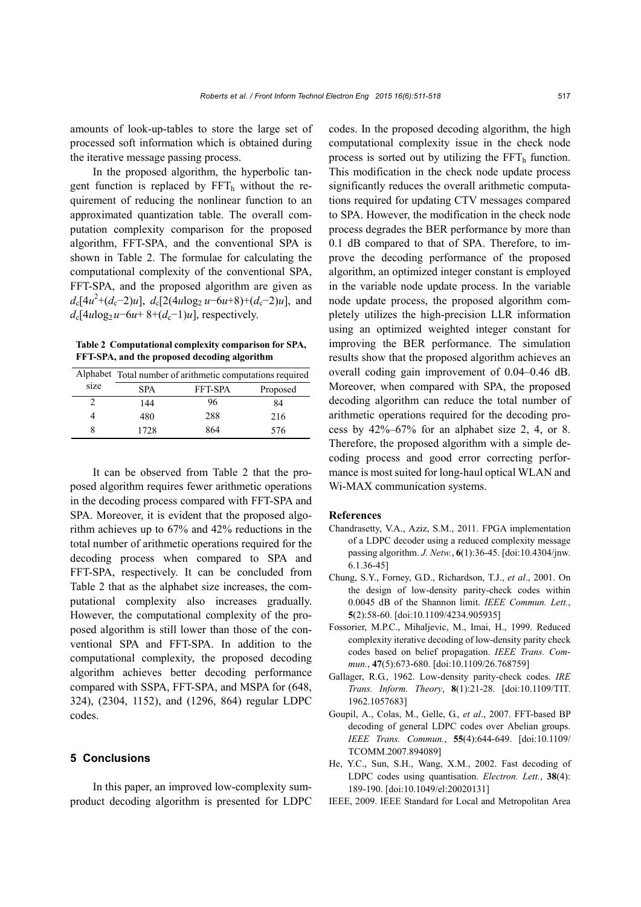amounts of look-up-tables to store the large set of processed soft information which is obtained during the iterative message passing process.

In the proposed algorithm, the hyperbolic tangent function is replaced by  $FFT<sub>h</sub>$  without the requirement of reducing the nonlinear function to an approximated quantization table. The overall computation complexity comparison for the proposed algorithm, FFT-SPA, and the conventional SPA is shown in Table 2. The formulae for calculating the computational complexity of the conventional SPA, FFT-SPA, and the proposed algorithm are given as  $d_c[4u^2+(d_c-2)u]$ ,  $d_c[2(4u\log_2 u-6u+8)+(d_c-2)u]$ , and  $d_c[4u\log_2 u - 6u + 8 + (d_c-1)u]$ , respectively.

**Table 2 Computational complexity comparison for SPA, FFT-SPA, and the proposed decoding algorithm** 

|      | Alphabet Total number of arithmetic computations required |         |          |  |  |  |  |
|------|-----------------------------------------------------------|---------|----------|--|--|--|--|
| size | <b>SPA</b>                                                | FFT-SPA | Proposed |  |  |  |  |
|      | 144                                                       | 96      | 84       |  |  |  |  |
|      | 480                                                       | 288     | 216      |  |  |  |  |
| 8    | 1728                                                      | 864     | 576      |  |  |  |  |

It can be observed from Table 2 that the proposed algorithm requires fewer arithmetic operations in the decoding process compared with FFT-SPA and SPA. Moreover, it is evident that the proposed algorithm achieves up to 67% and 42% reductions in the total number of arithmetic operations required for the decoding process when compared to SPA and FFT-SPA, respectively. It can be concluded from Table 2 that as the alphabet size increases, the computational complexity also increases gradually. However, the computational complexity of the proposed algorithm is still lower than those of the conventional SPA and FFT-SPA. In addition to the computational complexity, the proposed decoding algorithm achieves better decoding performance compared with SSPA, FFT-SPA, and MSPA for (648, 324), (2304, 1152), and (1296, 864) regular LDPC codes.

# **5 Conclusions**

In this paper, an improved low-complexity sumproduct decoding algorithm is presented for LDPC codes. In the proposed decoding algorithm, the high computational complexity issue in the check node process is sorted out by utilizing the  $FFT<sub>h</sub>$  function. This modification in the check node update process significantly reduces the overall arithmetic computations required for updating CTV messages compared to SPA. However, the modification in the check node process degrades the BER performance by more than 0.1 dB compared to that of SPA. Therefore, to improve the decoding performance of the proposed algorithm, an optimized integer constant is employed in the variable node update process. In the variable node update process, the proposed algorithm completely utilizes the high-precision LLR information using an optimized weighted integer constant for improving the BER performance. The simulation results show that the proposed algorithm achieves an overall coding gain improvement of 0.04–0.46 dB. Moreover, when compared with SPA, the proposed decoding algorithm can reduce the total number of arithmetic operations required for the decoding process by 42%–67% for an alphabet size 2, 4, or 8. Therefore, the proposed algorithm with a simple decoding process and good error correcting performance is most suited for long-haul optical WLAN and Wi-MAX communication systems.

## **References**

- Chandrasetty, V.A., Aziz, S.M., 2011. FPGA implementation of a LDPC decoder using a reduced complexity message passing algorithm. *J. Netw.*, **6**(1):36-45. [doi:10.4304/jnw. 6.1.36-45]
- Chung, S.Y., Forney, G.D., Richardson, T.J., *et al*., 2001. On the design of low-density parity-check codes within 0.0045 dB of the Shannon limit. *IEEE Commun. Lett.*, **5**(2):58-60. [doi:10.1109/4234.905935]
- Fossorier, M.P.C., Mihaljevic, M., Imai, H., 1999. Reduced complexity iterative decoding of low-density parity check codes based on belief propagation. *IEEE Trans. Commun.*, **47**(5):673-680. [doi:10.1109/26.768759]
- Gallager, R.G., 1962. Low-density parity-check codes. *IRE Trans. Inform. Theory*, **8**(1):21-28. [doi:10.1109/TIT. 1962.1057683]
- Goupil, A., Colas, M., Gelle, G., *et al*., 2007. FFT-based BP decoding of general LDPC codes over Abelian groups. *IEEE Trans. Commun.*, **55**(4):644-649. [doi:10.1109/ TCOMM.2007.894089]
- He, Y.C., Sun, S.H., Wang, X.M., 2002. Fast decoding of LDPC codes using quantisation. *Electron. Lett.*, **38**(4): 189-190. [doi:10.1049/el:20020131]
- IEEE, 2009. IEEE Standard for Local and Metropolitan Area